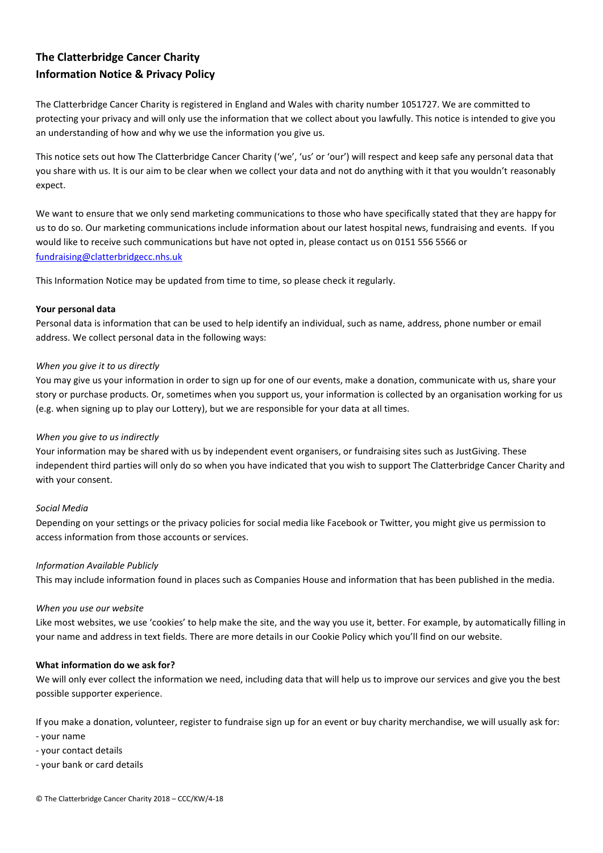# **The Clatterbridge Cancer Charity Information Notice & Privacy Policy**

The Clatterbridge Cancer Charity is registered in England and Wales with charity number 1051727. We are committed to protecting your privacy and will only use the information that we collect about you lawfully. This notice is intended to give you an understanding of how and why we use the information you give us.

This notice sets out how The Clatterbridge Cancer Charity ('we', 'us' or 'our') will respect and keep safe any personal data that you share with us. It is our aim to be clear when we collect your data and not do anything with it that you wouldn't reasonably expect.

We want to ensure that we only send marketing communications to those who have specifically stated that they are happy for us to do so. Our marketing communications include information about our latest hospital news, fundraising and events. If you would like to receive such communications but have not opted in, please contact us on 0151 556 5566 or [fundraising@clatterbridgecc.nhs.uk](mailto:fundraising@clatterbridgecc.nhs.uk)

This Information Notice may be updated from time to time, so please check it regularly.

## **Your personal data**

Personal data is information that can be used to help identify an individual, such as name, address, phone number or email address. We collect personal data in the following ways:

## *When you give it to us directly*

You may give us your information in order to sign up for one of our events, make a donation, communicate with us, share your story or purchase products. Or, sometimes when you support us, your information is collected by an organisation working for us (e.g. when signing up to play our Lottery), but we are responsible for your data at all times.

## *When you give to us indirectly*

Your information may be shared with us by independent event organisers, or fundraising sites such as JustGiving. These independent third parties will only do so when you have indicated that you wish to support The Clatterbridge Cancer Charity and with your consent.

#### *Social Media*

Depending on your settings or the privacy policies for social media like Facebook or Twitter, you might give us permission to access information from those accounts or services.

#### *Information Available Publicly*

This may include information found in places such as Companies House and information that has been published in the media.

#### *When you use our website*

Like most websites, we use 'cookies' to help make the site, and the way you use it, better. For example, by automatically filling in your name and address in text fields. There are more details in our Cookie Policy which you'll find on our website.

## **What information do we ask for?**

We will only ever collect the information we need, including data that will help us to improve our services and give you the best possible supporter experience.

If you make a donation, volunteer, register to fundraise sign up for an event or buy charity merchandise, we will usually ask for: - your name

- your contact details

- your bank or card details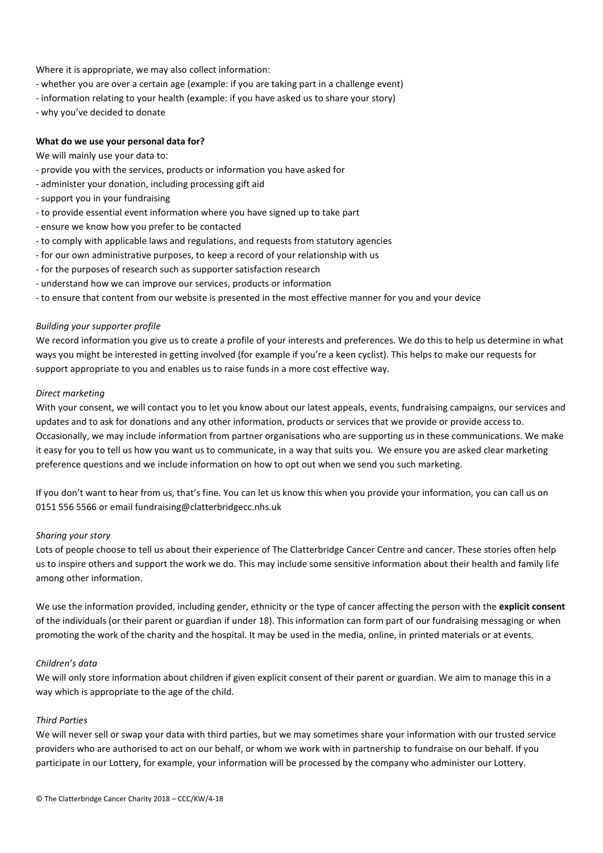Where it is appropriate, we may also collect information:

- whether you are over a certain age (example: if you are taking part in a challenge event)
- information relating to your health (example: if you have asked us to share your story)
- why you've decided to donate

#### **What do we use your personal data for?**

We will mainly use your data to:

- provide you with the services, products or information you have asked for
- administer your donation, including processing gift aid
- support you in your fundraising
- to provide essential event information where you have signed up to take part
- ensure we know how you prefer to be contacted
- to comply with applicable laws and regulations, and requests from statutory agencies
- for our own administrative purposes, to keep a record of your relationship with us
- for the purposes of research such as supporter satisfaction research
- understand how we can improve our services, products or information
- to ensure that content from our website is presented in the most effective manner for you and your device

#### *Building your supporter profile*

We record information you give us to create a profile of your interests and preferences. We do this to help us determine in what ways you might be interested in getting involved (for example if you're a keen cyclist). This helps to make our requests for support appropriate to you and enables us to raise funds in a more cost effective way.

### *Direct marketing*

With your consent, we will contact you to let you know about our latest appeals, events, fundraising campaigns, our services and updates and to ask for donations and any other information, products or services that we provide or provide access to. Occasionally, we may include information from partner organisations who are supporting us in these communications. We make it easy for you to tell us how you want us to communicate, in a way that suits you. We ensure you are asked clear marketing preference questions and we include information on how to opt out when we send you such marketing.

If you don't want to hear from us, that's fine. You can let us know this when you provide your information, you can call us on 0151 556 5566 or email fundraising@clatterbridgecc.nhs.uk

#### *Sharing your story*

Lots of people choose to tell us about their experience of The Clatterbridge Cancer Centre and cancer. These stories often help us to inspire others and support the work we do. This may include some sensitive information about their health and family life among other information.

We use the information provided, including gender, ethnicity or the type of cancer affecting the person with the **explicit consent** of the individuals (or their parent or guardian if under 18). This information can form part of our fundraising messaging or when promoting the work of the charity and the hospital. It may be used in the media, online, in printed materials or at events.

#### *Children's data*

We will only store information about children if given explicit consent of their parent or guardian. We aim to manage this in a way which is appropriate to the age of the child.

#### *Third Parties*

We will never sell or swap your data with third parties, but we may sometimes share your information with our trusted service providers who are authorised to act on our behalf, or whom we work with in partnership to fundraise on our behalf. If you participate in our Lottery, for example, your information will be processed by the company who administer our Lottery.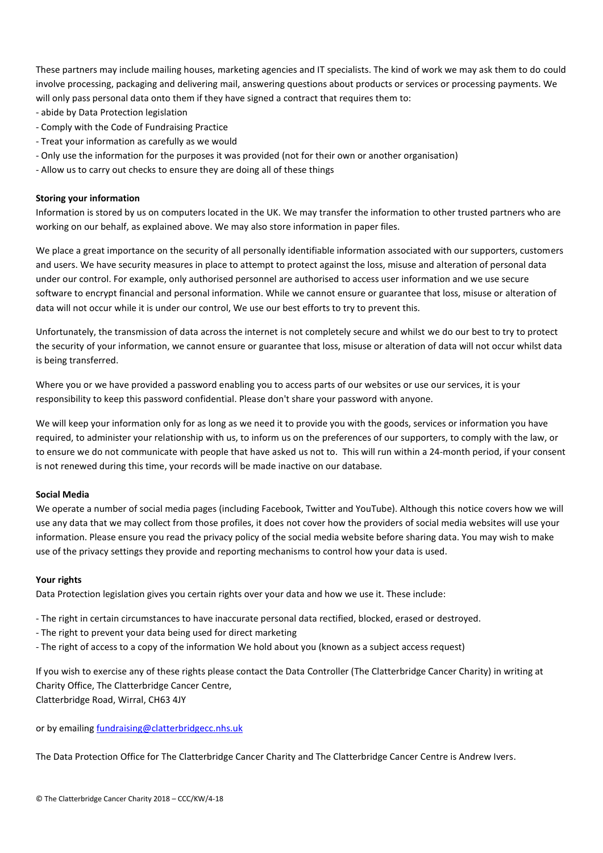These partners may include mailing houses, marketing agencies and IT specialists. The kind of work we may ask them to do could involve processing, packaging and delivering mail, answering questions about products or services or processing payments. We will only pass personal data onto them if they have signed a contract that requires them to:

- abide by Data Protection legislation
- Comply with the Code of Fundraising Practice
- Treat your information as carefully as we would
- Only use the information for the purposes it was provided (not for their own or another organisation)
- Allow us to carry out checks to ensure they are doing all of these things

#### **Storing your information**

Information is stored by us on computers located in the UK. We may transfer the information to other trusted partners who are working on our behalf, as explained above. We may also store information in paper files.

We place a great importance on the security of all personally identifiable information associated with our supporters, customers and users. We have security measures in place to attempt to protect against the loss, misuse and alteration of personal data under our control. For example, only authorised personnel are authorised to access user information and we use secure software to encrypt financial and personal information. While we cannot ensure or guarantee that loss, misuse or alteration of data will not occur while it is under our control, We use our best efforts to try to prevent this.

Unfortunately, the transmission of data across the internet is not completely secure and whilst we do our best to try to protect the security of your information, we cannot ensure or guarantee that loss, misuse or alteration of data will not occur whilst data is being transferred.

Where you or we have provided a password enabling you to access parts of our websites or use our services, it is your responsibility to keep this password confidential. Please don't share your password with anyone.

We will keep your information only for as long as we need it to provide you with the goods, services or information you have required, to administer your relationship with us, to inform us on the preferences of our supporters, to comply with the law, or to ensure we do not communicate with people that have asked us not to. This will run within a 24-month period, if your consent is not renewed during this time, your records will be made inactive on our database.

#### **Social Media**

We operate a number of social media pages (including Facebook, Twitter and YouTube). Although this notice covers how we will use any data that we may collect from those profiles, it does not cover how the providers of social media websites will use your information. Please ensure you read the privacy policy of the social media website before sharing data. You may wish to make use of the privacy settings they provide and reporting mechanisms to control how your data is used.

#### **Your rights**

Data Protection legislation gives you certain rights over your data and how we use it. These include:

- The right in certain circumstances to have inaccurate personal data rectified, blocked, erased or destroyed.

- The right to prevent your data being used for direct marketing
- The right of access to a copy of the information We hold about you (known as a subject access request)

If you wish to exercise any of these rights please contact the Data Controller (The Clatterbridge Cancer Charity) in writing at Charity Office, The Clatterbridge Cancer Centre, Clatterbridge Road, Wirral, CH63 4JY

or by emailing [fundraising@clatterbridgecc.nhs.uk](mailto:fundraising@clatterbridgecc.nhs.uk)

The Data Protection Office for The Clatterbridge Cancer Charity and The Clatterbridge Cancer Centre is Andrew Ivers.